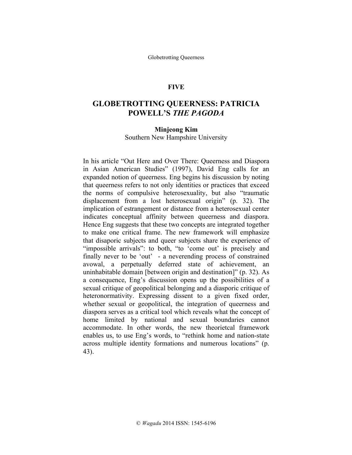## **FIVE**

# **GLOBETROTTING QUEERNESS: PATRICIA POWELL'S** *THE PAGODA*

### **Minjeong Kim**

Southern New Hampshire University

In his article "Out Here and Over There: Queerness and Diaspora in Asian American Studies" (1997), David Eng calls for an expanded notion of queerness. Eng begins his discussion by noting that queerness refers to not only identities or practices that exceed the norms of compulsive heterosexuality, but also "traumatic displacement from a lost heterosexual origin" (p. 32). The implication of estrangement or distance from a heterosexual center indicates conceptual affinity between queerness and diaspora. Hence Eng suggests that these two concepts are integrated together to make one critical frame. The new framework will emphasize that disaporic subjects and queer subjects share the experience of "impossible arrivals": to both, "to 'come out' is precisely and finally never to be 'out' - a neverending process of constrained avowal, a perpetually deferred state of achievement, an uninhabitable domain [between origin and destination]" (p. 32). As a consequence, Eng's discussion opens up the possibilities of a sexual critique of geopolitical belonging and a diasporic critique of heteronormativity. Expressing dissent to a given fixed order, whether sexual or geopolitical, the integration of queerness and diaspora serves as a critical tool which reveals what the concept of home limited by national and sexual boundaries cannot accommodate. In other words, the new theorietcal framework enables us, to use Eng's words, to "rethink home and nation-state across multiple identity formations and numerous locations" (p. 43).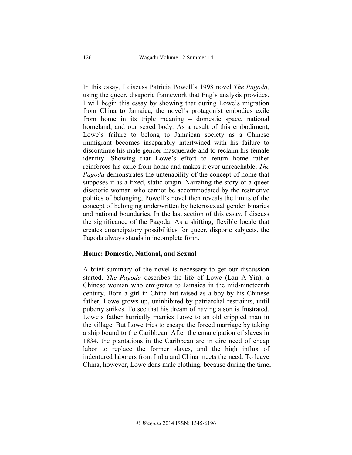In this essay, I discuss Patricia Powell's 1998 novel *The Pagoda*, using the queer, disaporic framework that Eng's analysis provides. I will begin this essay by showing that during Lowe's migration from China to Jamaica, the novel's protagonist embodies exile from home in its triple meaning – domestic space, national homeland, and our sexed body. As a result of this embodiment, Lowe's failure to belong to Jamaican society as a Chinese immigrant becomes inseparably intertwined with his failure to discontinue his male gender masquerade and to reclaim his female identity. Showing that Lowe's effort to return home rather reinforces his exile from home and makes it ever unreachable, *The Pagoda* demonstrates the untenability of the concept of home that supposes it as a fixed, static origin. Narrating the story of a queer disaporic woman who cannot be accommodated by the restrictive politics of belonging, Powell's novel then reveals the limits of the concept of belonging underwritten by heterosexual gender binaries and national boundaries. In the last section of this essay, I discuss the significance of the Pagoda. As a shifting, flexible locale that creates emancipatory possibilities for queer, disporic subjects, the Pagoda always stands in incomplete form.

#### **Home: Domestic, National, and Sexual**

A brief summary of the novel is necessary to get our discussion started. *The Pagoda* describes the life of Lowe (Lau A-Yin), a Chinese woman who emigrates to Jamaica in the mid-nineteenth century. Born a girl in China but raised as a boy by his Chinese father, Lowe grows up, uninhibited by patriarchal restraints, until puberty strikes. To see that his dream of having a son is frustrated, Lowe's father hurriedly marries Lowe to an old crippled man in the village. But Lowe tries to escape the forced marriage by taking a ship bound to the Caribbean. After the emancipation of slaves in 1834, the plantations in the Caribbean are in dire need of cheap labor to replace the former slaves, and the high influx of indentured laborers from India and China meets the need. To leave China, however, Lowe dons male clothing, because during the time,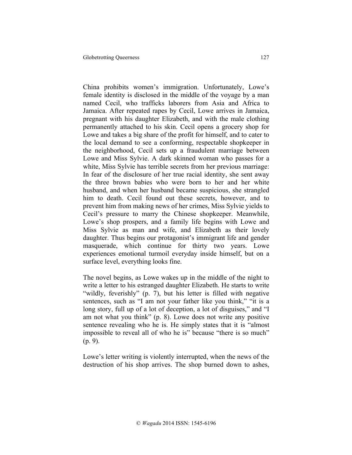China prohibits women's immigration. Unfortunately, Lowe's female identity is disclosed in the middle of the voyage by a man named Cecil, who trafficks laborers from Asia and Africa to Jamaica. After repeated rapes by Cecil, Lowe arrives in Jamaica, pregnant with his daughter Elizabeth, and with the male clothing permanently attached to his skin. Cecil opens a grocery shop for Lowe and takes a big share of the profit for himself, and to cater to the local demand to see a conforming, respectable shopkeeper in the neighborhood, Cecil sets up a fraudulent marriage between Lowe and Miss Sylvie. A dark skinned woman who passes for a white, Miss Sylvie has terrible secrets from her previous marriage: In fear of the disclosure of her true racial identity, she sent away the three brown babies who were born to her and her white husband, and when her husband became suspicious, she strangled him to death. Cecil found out these secrets, however, and to prevent him from making news of her crimes, Miss Sylvie yields to Cecil's pressure to marry the Chinese shopkeeper. Meanwhile, Lowe's shop prospers, and a family life begins with Lowe and Miss Sylvie as man and wife, and Elizabeth as their lovely daughter. Thus begins our protagonist's immigrant life and gender masquerade, which continue for thirty two years. Lowe experiences emotional turmoil everyday inside himself, but on a surface level, everything looks fine.

The novel begins, as Lowe wakes up in the middle of the night to write a letter to his estranged daughter Elizabeth. He starts to write "wildly, feverishly" (p. 7), but his letter is filled with negative sentences, such as "I am not your father like you think," "it is a long story, full up of a lot of deception, a lot of disguises," and "I am not what you think" (p. 8). Lowe does not write any positive sentence revealing who he is. He simply states that it is "almost impossible to reveal all of who he is" because "there is so much" (p. 9).

Lowe's letter writing is violently interrupted, when the news of the destruction of his shop arrives. The shop burned down to ashes,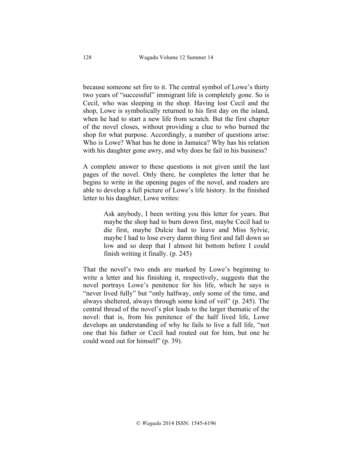because someone set fire to it. The central symbol of Lowe's thirty two years of "successful" immigrant life is completely gone. So is Cecil, who was sleeping in the shop. Having lost Cecil and the shop, Lowe is symbolically returned to his first day on the island, when he had to start a new life from scratch. But the first chapter of the novel closes, without providing a clue to who burned the shop for what purpose. Accordingly, a number of questions arise: Who is Lowe? What has he done in Jamaica? Why has his relation with his daughter gone awry, and why does he fail in his business?

A complete answer to these questions is not given until the last pages of the novel. Only there, he completes the letter that he begins to write in the opening pages of the novel, and readers are able to develop a full picture of Lowe's life history. In the finished letter to his daughter, Lowe writes:

> Ask anybody, I been writing you this letter for years. But maybe the shop had to burn down first, maybe Cecil had to die first, maybe Dulcie had to leave and Miss Sylvie, maybe I had to lose every damn thing first and fall down so low and so deep that I almost hit bottom before I could finish writing it finally. (p. 245)

That the novel's two ends are marked by Lowe's beginning to write a letter and his finishing it, respectively, suggests that the novel portrays Lowe's penitence for his life, which he says is "never lived fully" but "only halfway, only some of the time, and always sheltered, always through some kind of veil" (p. 245). The central thread of the novel's plot leads to the larger thematic of the novel: that is, from his penitence of the half lived life, Lowe develops an understanding of why he fails to live a full life, "not one that his father or Cecil had routed out for him, but one he could weed out for himself" (p. 39).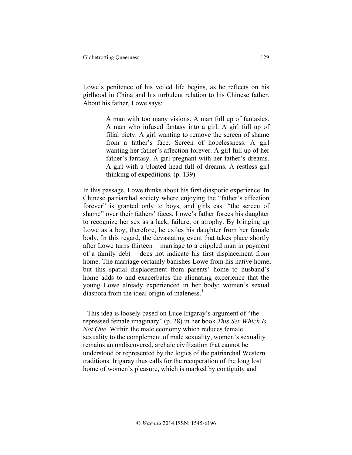Lowe's penitence of his veiled life begins, as he reflects on his girlhood in China and his turbulent relation to his Chinese father. About his father, Lowe says:

> A man with too many visions. A man full up of fantasies. A man who infused fantasy into a girl. A girl full up of filial piety. A girl wanting to remove the screen of shame from a father's face. Screen of hopelessness. A girl wanting her father's affection forever. A girl full up of her father's fantasy. A girl pregnant with her father's dreams. A girl with a bloated head full of dreams. A restless girl thinking of expeditions. (p. 139)

In this passage, Lowe thinks about his first diasporic experience. In Chinese patriarchal society where enjoying the "father's affection forever" is granted only to boys, and girls cast "the screen of shame" over their fathers' faces, Lowe's father forces his daughter to recognize her sex as a lack, failure, or atrophy. By bringing up Lowe as a boy, therefore, he exiles his daughter from her female body. In this regard, the devastating event that takes place shortly after Lowe turns thirteen – marriage to a crippled man in payment of a family debt – does not indicate his first displacement from home. The marriage certainly banishes Lowe from his native home, but this spatial displacement from parents' home to husband's home adds to and exacerbates the alienating experience that the young Lowe already experienced in her body: women's sexual diaspora from the ideal origin of maleness. $<sup>1</sup>$ </sup>

<sup>&</sup>lt;sup>1</sup> This idea is loosely based on Luce Irigaray's argument of "the repressed female imaginary" (p. 28) in her book *This Sex Which Is Not One*. Within the male economy which reduces female sexuality to the complement of male sexuality, women's sexuality remains an undiscovered, archaic civilization that cannot be understood or represented by the logics of the patriarchal Western traditions. Irigaray thus calls for the recuperation of the long lost home of women's pleasure, which is marked by contiguity and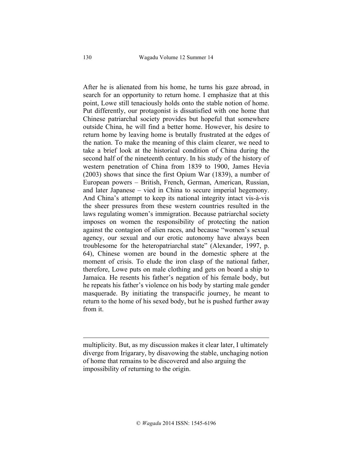After he is alienated from his home, he turns his gaze abroad, in search for an opportunity to return home. I emphasize that at this point, Lowe still tenaciously holds onto the stable notion of home. Put differently, our protagonist is dissatisfied with one home that Chinese patriarchal society provides but hopeful that somewhere outside China, he will find a better home. However, his desire to return home by leaving home is brutally frustrated at the edges of the nation. To make the meaning of this claim clearer, we need to take a brief look at the historical condition of China during the second half of the nineteenth century. In his study of the history of western penetration of China from 1839 to 1900, James Hevia (2003) shows that since the first Opium War (1839), a number of European powers – British, French, German, American, Russian, and later Japanese – vied in China to secure imperial hegemony. And China's attempt to keep its national integrity intact vis-à-vis the sheer pressures from these western countries resulted in the laws regulating women's immigration. Because patriarchal society imposes on women the responsibility of protecting the nation against the contagion of alien races, and because "women's sexual agency, our sexual and our erotic autonomy have always been troublesome for the heteropatriarchal state" (Alexander, 1997, p. 64), Chinese women are bound in the domestic sphere at the moment of crisis. To elude the iron clasp of the national father, therefore, Lowe puts on male clothing and gets on board a ship to Jamaica. He resents his father's negation of his female body, but he repeats his father's violence on his body by starting male gender masquerade. By initiating the transpacific journey, he meant to return to the home of his sexed body, but he is pushed further away from it.

 $\overline{a}$ 

multiplicity. But, as my discussion makes it clear later, I ultimately diverge from Irigarary, by disavowing the stable, unchaging notion of home that remains to be discovered and also arguing the impossibility of returning to the origin.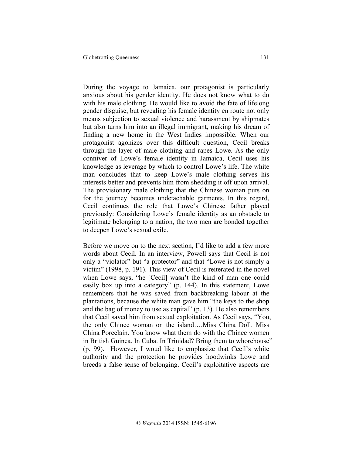During the voyage to Jamaica, our protagonist is particularly anxious about his gender identity. He does not know what to do with his male clothing. He would like to avoid the fate of lifelong gender disguise, but revealing his female identity en route not only means subjection to sexual violence and harassment by shipmates but also turns him into an illegal immigrant, making his dream of finding a new home in the West Indies impossible. When our protagonist agonizes over this difficult question, Cecil breaks through the layer of male clothing and rapes Lowe. As the only conniver of Lowe's female identity in Jamaica, Cecil uses his knowledge as leverage by which to control Lowe's life. The white man concludes that to keep Lowe's male clothing serves his interests better and prevents him from shedding it off upon arrival. The provisionary male clothing that the Chinese woman puts on for the journey becomes undetachable garments. In this regard, Cecil continues the role that Lowe's Chinese father played previously: Considering Lowe's female identity as an obstacle to legitimate belonging to a nation, the two men are bonded together to deepen Lowe's sexual exile.

Before we move on to the next section, I'd like to add a few more words about Cecil. In an interview, Powell says that Cecil is not only a "violator" but "a protector" and that "Lowe is not simply a victim" (1998, p. 191). This view of Cecil is reiterated in the novel when Lowe says, "he [Cecil] wasn't the kind of man one could easily box up into a category" (p. 144). In this statement, Lowe remembers that he was saved from backbreaking labour at the plantations, because the white man gave him "the keys to the shop and the bag of money to use as capital" (p. 13). He also remembers that Cecil saved him from sexual exploitation. As Cecil says, "You, the only Chinee woman on the island….Miss China Doll. Miss China Porcelain. You know what them do with the Chinee women in British Guinea. In Cuba. In Trinidad? Bring them to whorehouse" (p. 99). However, I woud like to emphasize that Cecil's white authority and the protection he provides hoodwinks Lowe and breeds a false sense of belonging. Cecil's exploitative aspects are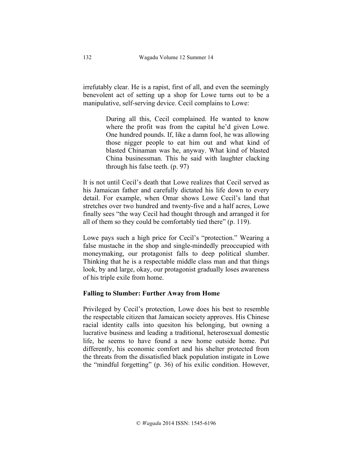irrefutably clear. He is a rapist, first of all, and even the seemingly benevolent act of setting up a shop for Lowe turns out to be a manipulative, self-serving device. Cecil complains to Lowe:

> During all this, Cecil complained. He wanted to know where the profit was from the capital he'd given Lowe. One hundred pounds. If, like a damn fool, he was allowing those nigger people to eat him out and what kind of blasted Chinaman was he, anyway. What kind of blasted China businessman. This he said with laughter clacking through his false teeth. (p. 97)

It is not until Cecil's death that Lowe realizes that Cecil served as his Jamaican father and carefully dictated his life down to every detail. For example, when Omar shows Lowe Cecil's land that stretches over two hundred and twenty-five and a half acres, Lowe finally sees "the way Cecil had thought through and arranged it for all of them so they could be comfortably tied there" (p. 119).

Lowe pays such a high price for Cecil's "protection." Wearing a false mustache in the shop and single-mindedly preoccupied with moneymaking, our protagonist falls to deep political slumber. Thinking that he is a respectable middle class man and that things look, by and large, okay, our protagonist gradually loses awareness of his triple exile from home.

# **Falling to Slumber: Further Away from Home**

Privileged by Cecil's protection, Lowe does his best to resemble the respectable citizen that Jamaican society approves. His Chinese racial identity calls into quesiton his belonging, but owning a lucrative business and leading a traditional, heterosexual domestic life, he seems to have found a new home outside home. Put differently, his economic comfort and his shelter protected from the threats from the dissatisfied black population instigate in Lowe the "mindful forgetting" (p. 36) of his exilic condition. However,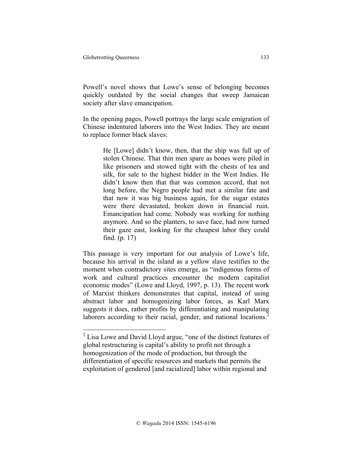Powell's novel shows that Lowe's sense of belonging becomes quickly outdated by the social changes that sweep Jamaican society after slave emancipation.

In the opening pages, Powell portrays the large scale emigration of Chinese indentured laborers into the West Indies. They are meant to replace former black slaves:

> He [Lowe] didn't know, then, that the ship was full up of stolen Chinese. That thin men spare as bones were piled in like prisoners and stowed tight with the chests of tea and silk, for sale to the highest bidder in the West Indies. He didn't know then that that was common accord, that not long before, the Negro people had met a similar fate and that now it was big business again, for the sugar estates were there devastated, broken down in financial ruin. Emancipation had come. Nobody was working for nothing anymore. And so the planters, to save face, had now turned their gaze east, looking for the cheapest labor they could find. (p. 17)

This passage is very important for our analysis of Lowe's life, because his arrival in the island as a yellow slave testifies to the moment when contradictory sites emerge, as "indigenous forms of work and cultural practices encounter the modern capitalist economic modes" (Lowe and Lloyd, 1997, p. 13). The recent work of Marxist thinkers demonstrates that capital, instead of using abstract labor and homogenizing labor forces, as Karl Marx suggests it does, rather profits by differentiating and manipulating laborers according to their racial, gender, and national locations.<sup>2</sup>

 <sup>2</sup> Lisa Lowe and David Lloyd argue, "one of the distinct features of global restructuring is capital's ability to profit not through a homogenization of the mode of production, but through the differentiation of specific resources and markets that permits the exploitation of gendered [and racialized] labor within regional and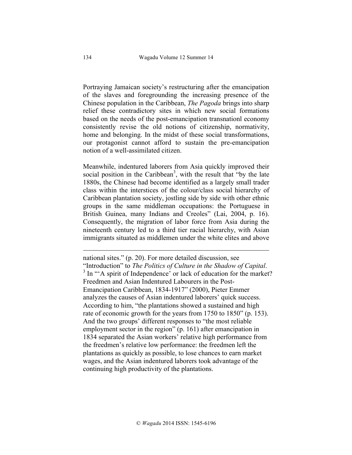Portraying Jamaican society's restructuring after the emancipation of the slaves and foregrounding the increasing presence of the Chinese population in the Caribbean, *The Pagoda* brings into sharp relief these contradictory sites in which new social formations based on the needs of the post-emancipation transnationl economy consistently revise the old notions of citizenship, normativity, home and belonging. In the midst of these social transformations, our protagonist cannot afford to sustain the pre-emancipation notion of a well-assimilated citizen.

Meanwhile, indentured laborers from Asia quickly improved their social position in the Caribbean<sup>3</sup>, with the result that "by the late 1880s, the Chinese had become identified as a largely small trader class within the interstices of the colour/class social hierarchy of Caribbean plantation society, jostling side by side with other ethnic groups in the same middleman occupations: the Portuguese in British Guinea, many Indians and Creoles" (Lai, 2004, p. 16). Consequently, the migration of labor force from Asia during the nineteenth century led to a third tier racial hierarchy, with Asian immigrants situated as middlemen under the white elites and above

national sites." (p. 20). For more detailed discussion, see "Introduction" to *The Politics of Culture in the Shadow of Capital*. 3 In "'A spirit of Independence' or lack of education for the market? Freedmen and Asian Indentured Labourers in the Post-Emancipation Caribbean, 1834-1917" (2000), Pieter Emmer analyzes the causes of Asian indentured laborers' quick success. According to him, "the plantations showed a sustained and high rate of economic growth for the years from 1750 to 1850" (p. 153). And the two groups' different responses to "the most reliable employment sector in the region" (p. 161) after emancipation in 1834 separated the Asian workers' relative high performance from the freedmen's relative low performance: the freedmen left the plantations as quickly as possible, to lose chances to earn market wages, and the Asian indentured laborers took advantage of the continuing high productivity of the plantations.

 $\overline{a}$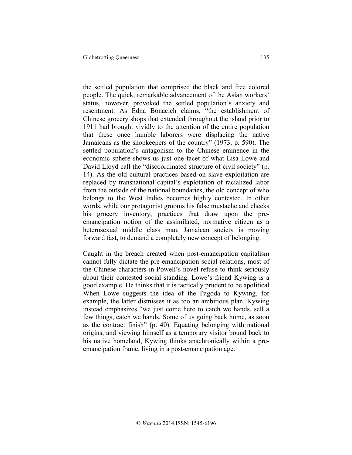the settled population that comprised the black and free colored people. The quick, remarkable advancement of the Asian workers' status, however, provoked the settled population's anxiety and resentment. As Edna Bonacich claims, "the establishment of Chinese grocery shops that extended throughout the island prior to 1911 had brought vividly to the attention of the entire population that these once humble laborers were displacing the native Jamaicans as the shopkeepers of the country" (1973, p. 590). The settled population's antagonism to the Chinese eminence in the economic sphere shows us just one facet of what Lisa Lowe and David Lloyd call the "discoordinated structure of civil society" (p. 14). As the old cultural practices based on slave exploitation are replaced by transnational capital's explotation of racialized labor from the outside of the national boundaries, the old concept of who belongs to the West Indies becomes highly contested. In other words, while our protagonist grooms his false mustache and checks his grocery inventory, practices that draw upon the preemancipation notion of the assimilated, normative citizen as a heterosexual middle class man, Jamaican society is moving forward fast, to demand a completely new concept of belonging.

Caught in the breach created when post-emancipation capitalism cannot fully dictate the pre-emancipation social relations, most of the Chinese characters in Powell's novel refuse to think seriously about their contested social standing. Lowe's friend Kywing is a good example. He thinks that it is tactically prudent to be apolitical. When Lowe suggests the idea of the Pagoda to Kywing, for example, the latter dismisses it as too an ambitious plan. Kywing instead emphasizes "we just come here to catch we hands, sell a few things, catch we hands. Some of us going back home, as soon as the contract finish" (p. 40). Equating belonging with national origins, and viewing himself as a temporary visitor bound back to his native homeland, Kywing thinks anachronically within a preemancipation frame, living in a post-emancipation age.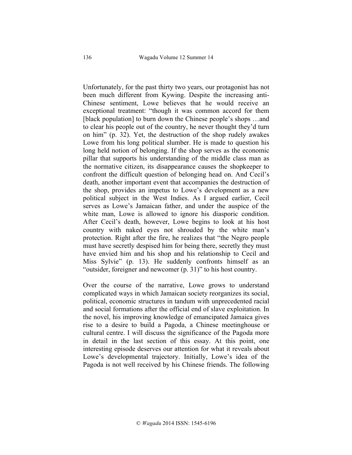Unfortunately, for the past thirty two years, our protagonist has not been much different from Kywing. Despite the increasing anti-Chinese sentiment, Lowe believes that he would receive an exceptional treatment: "though it was common accord for them [black population] to burn down the Chinese people's shops …and to clear his people out of the country, he never thought they'd turn on him" (p. 32). Yet, the destruction of the shop rudely awakes Lowe from his long political slumber. He is made to question his long held notion of belonging. If the shop serves as the economic pillar that supports his understanding of the middle class man as the normative citizen, its disappearance causes the shopkeeper to confront the difficult question of belonging head on. And Cecil's death, another important event that accompanies the destruction of the shop, provides an impetus to Lowe's development as a new political subject in the West Indies. As I argued earlier, Cecil serves as Lowe's Jamaican father, and under the auspice of the white man, Lowe is allowed to ignore his diasporic condition. After Cecil's death, however, Lowe begins to look at his host country with naked eyes not shrouded by the white man's protection. Right after the fire, he realizes that "the Negro people must have secretly despised him for being there, secretly they must have envied him and his shop and his relationship to Cecil and Miss Sylvie" (p. 13). He suddenly confronts himself as an "outsider, foreigner and newcomer (p. 31)" to his host country.

Over the course of the narrative, Lowe grows to understand complicated ways in which Jamaican society reorganizes its social, political, economic structures in tandum with unprecedented racial and social formations after the official end of slave exploitation. In the novel, his improving knowledge of emancipated Jamaica gives rise to a desire to build a Pagoda, a Chinese meetinghouse or cultural centre. I will discuss the significance of the Pagoda more in detail in the last section of this essay. At this point, one interesting episode deserves our attention for what it reveals about Lowe's developmental trajectory. Initially, Lowe's idea of the Pagoda is not well received by his Chinese friends. The following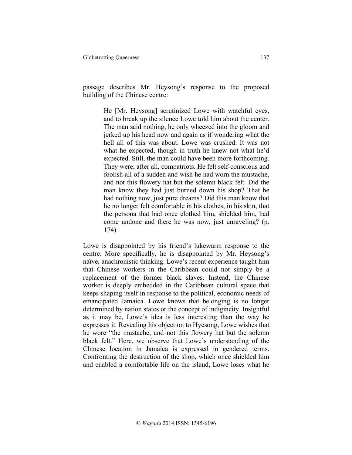passage describes Mr. Heysong's response to the proposed building of the Chinese centre:

> He [Mr. Heysong] scrutinized Lowe with watchful eyes, and to break up the silence Lowe told him about the center. The man said nothing, he only wheezed into the gloom and jerked up his head now and again as if wondering what the hell all of this was about. Lowe was crushed. It was not what he expected, though in truth he knew not what he'd expected. Still, the man could have been more forthcoming. They were, after all, compatriots. He felt self-conscious and foolish all of a sudden and wish he had worn the mustache, and not this flowery hat but the solemn black felt. Did the man know they had just burned down his shop? That he had nothing now, just pure dreams? Did this man know that he no longer felt comfortable in his clothes, in his skin, that the persona that had once clothed him, shielded him, had come undone and there he was now, just unraveling? (p. 174)

Lowe is disappointed by his friend's lukewarm response to the centre. More specifically, he is disappointed by Mr. Heysong's naïve, anachronistic thinking. Lowe's recent experience taught him that Chinese workers in the Caribbean could not simply be a replacement of the former black slaves. Instead, the Chinese worker is deeply embedded in the Caribbean cultural space that keeps shaping itself in response to the political, economic needs of emancipated Jamaica. Lowe knows that belonging is no longer determined by nation states or the concept of indigineity. Insightful as it may be, Lowe's idea is less interesting than the way he expresses it. Revealing his objection to Hyesong, Lowe wishes that he wore "the mustache, and not this flowery hat but the solemn black felt." Here, we observe that Lowe's understanding of the Chinese location in Jamaica is expressed in gendered terms. Confronting the destruction of the shop, which once shielded him and enabled a comfortable life on the island, Lowe loses what he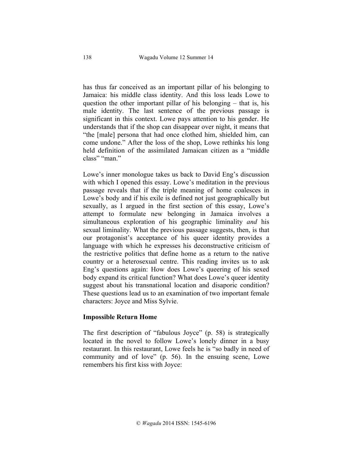has thus far conceived as an important pillar of his belonging to Jamaica: his middle class identity. And this loss leads Lowe to question the other important pillar of his belonging – that is, his male identity. The last sentence of the previous passage is significant in this context. Lowe pays attention to his gender. He understands that if the shop can disappear over night, it means that "the [male] persona that had once clothed him, shielded him, can come undone." After the loss of the shop, Lowe rethinks his long held definition of the assimilated Jamaican citizen as a "middle class" "man."

Lowe's inner monologue takes us back to David Eng's discussion with which I opened this essay. Lowe's meditation in the previous passage reveals that if the triple meaning of home coalesces in Lowe's body and if his exile is defined not just geographically but sexually, as I argued in the first section of this essay, Lowe's attempt to formulate new belonging in Jamaica involves a simultaneous exploration of his geographic liminality *and* his sexual liminality. What the previous passage suggests, then, is that our protagonist's acceptance of his queer identity provides a language with which he expresses his deconstructive criticism of the restrictive politics that define home as a return to the native country or a heterosexual centre. This reading invites us to ask Eng's questions again: How does Lowe's queering of his sexed body expand its critical function? What does Lowe's queer identity suggest about his transnational location and disaporic condition? These questions lead us to an examination of two important female characters: Joyce and Miss Sylvie.

### **Impossible Return Home**

The first description of "fabulous Joyce" (p. 58) is strategically located in the novel to follow Lowe's lonely dinner in a busy restaurant. In this restaurant, Lowe feels he is "so badly in need of community and of love" (p. 56). In the ensuing scene, Lowe remembers his first kiss with Joyce: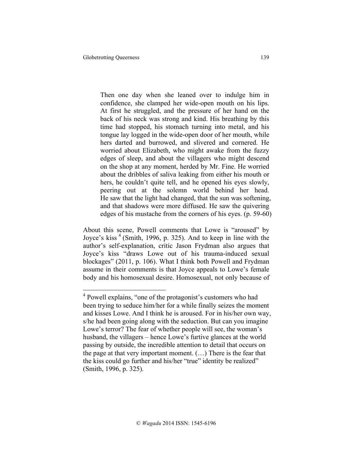Then one day when she leaned over to indulge him in confidence, she clamped her wide-open mouth on his lips. At first he struggled, and the pressure of her hand on the back of his neck was strong and kind. His breathing by this time had stopped, his stomach turning into metal, and his tongue lay logged in the wide-open door of her mouth, while hers darted and burrowed, and slivered and cornered. He worried about Elizabeth, who might awake from the fuzzy edges of sleep, and about the villagers who might descend on the shop at any moment, herded by Mr. Fine. He worried about the dribbles of saliva leaking from either his mouth or hers, he couldn't quite tell, and he opened his eyes slowly, peering out at the solemn world behind her head. He saw that the light had changed, that the sun was softening, and that shadows were more diffused. He saw the quivering edges of his mustache from the corners of his eyes. (p. 59-60)

About this scene, Powell comments that Lowe is "aroused" by Joyce's kiss<sup>4</sup> (Smith, 1996, p. 325). And to keep in line with the author's self-explanation, critic Jason Frydman also argues that Joyce's kiss "draws Lowe out of his trauma-induced sexual blockages" (2011, p. 106). What I think both Powell and Frydman assume in their comments is that Joyce appeals to Lowe's female body and his homosexual desire. Homosexual, not only because of

<sup>&</sup>lt;sup>4</sup> Powell explains, "one of the protagonist's customers who had been trying to seduce him/her for a while finally seizes the moment and kisses Lowe. And I think he is aroused. For in his/her own way, s/he had been going along with the seduction. But can you imagine Lowe's terror? The fear of whether people will see, the woman's husband, the villagers – hence Lowe's furtive glances at the world passing by outside, the incredible attention to detail that occurs on the page at that very important moment. (…) There is the fear that the kiss could go further and his/her "true" identity be realized" (Smith, 1996, p. 325).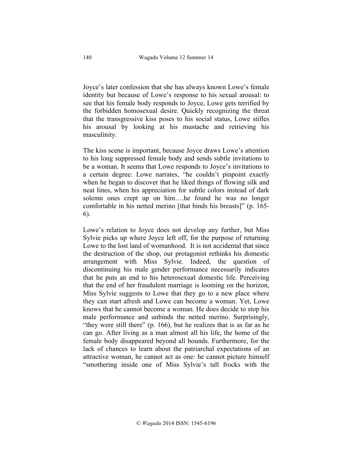Joyce's later confession that she has always known Lowe's female identity but because of Lowe's response to his sexual arousal: to see that his female body responds to Joyce, Lowe gets terrified by the forbidden homosexual desire. Quickly recognizing the threat that the transgressive kiss poses to his social status, Lowe stifles his arousal by looking at his mustache and retrieving his masculinity.

The kiss scene is important, because Joyce draws Lowe's attention to his long suppressed female body and sends subtle invitations to be a woman. It seems that Lowe responds to Joyce's invitations to a certain degree: Lowe narrates, "he couldn't pinpoint exactly when he began to discover that he liked things of flowing silk and neat lines, when his appreciation for subtle colors instead of dark solemn ones crept up on him….he found he was no longer comfortable in his netted merino [that binds his breasts]" (p. 165- 6).

Lowe's relation to Joyce does not develop any further, but Miss Sylvie picks up where Joyce left off, for the purpose of returning Lowe to the lost land of womanhood. It is not accidental that since the destruction of the shop, our protagonist rethinks his domestic arrangement with Miss Sylvie. Indeed, the question of discontinuing his male gender performance necessarily indicates that he puts an end to his heterosexual domestic life. Perceiving that the end of her fraudulent marriage is looming on the horizon, Miss Sylvie suggests to Lowe that they go to a new place where they can start afresh and Lowe can become a woman. Yet, Lowe knows that he cannot become a woman. He does decide to stop his male performance and unbinds the netted merino. Surprisingly, "they were still there" (p. 166), but he realizes that is as far as he can go. After living as a man almost all his life, the home of the female body disappeared beyond all bounds. Furthermore, for the lack of chances to learn about the patriarchal expectations of an attractive woman, he cannot act as one: he cannot picture himself "smothering inside one of Miss Sylvie's tall frocks with the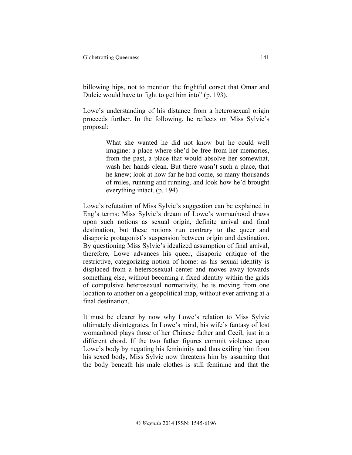billowing hips, not to mention the frightful corset that Omar and Dulcie would have to fight to get him into" (p. 193).

Lowe's understanding of his distance from a heterosexual origin proceeds further. In the following, he reflects on Miss Sylvie's proposal:

> What she wanted he did not know but he could well imagine: a place where she'd be free from her memories, from the past, a place that would absolve her somewhat, wash her hands clean. But there wasn't such a place, that he knew; look at how far he had come, so many thousands of miles, running and running, and look how he'd brought everything intact. (p. 194)

Lowe's refutation of Miss Sylvie's suggestion can be explained in Eng's terms: Miss Sylvie's dream of Lowe's womanhood draws upon such notions as sexual origin, definite arrival and final destination, but these notions run contrary to the queer and disaporic protagonist's suspension between origin and destination. By questioning Miss Sylvie's idealized assumption of final arrival, therefore, Lowe advances his queer, disaporic critique of the restrictive, categorizing notion of home: as his sexual identity is displaced from a hetersosexual center and moves away towards something else, without becoming a fixed identity within the grids of compulsive heterosexual normativity, he is moving from one location to another on a geopolitical map, without ever arriving at a final destination.

It must be clearer by now why Lowe's relation to Miss Sylvie ultimately disintegrates. In Lowe's mind, his wife's fantasy of lost womanhood plays those of her Chinese father and Cecil, just in a different chord. If the two father figures commit violence upon Lowe's body by negating his femininity and thus exiling him from his sexed body, Miss Sylvie now threatens him by assuming that the body beneath his male clothes is still feminine and that the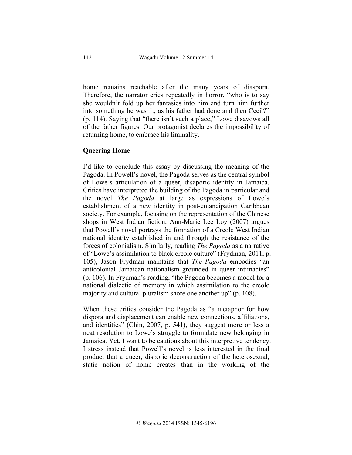home remains reachable after the many years of diaspora. Therefore, the narrator cries repeatedly in horror, "who is to say she wouldn't fold up her fantasies into him and turn him further into something he wasn't, as his father had done and then Cecil?" (p. 114). Saying that "there isn't such a place," Lowe disavows all of the father figures. Our protagonist declares the impossibility of returning home, to embrace his liminality.

#### **Queering Home**

I'd like to conclude this essay by discussing the meaning of the Pagoda. In Powell's novel, the Pagoda serves as the central symbol of Lowe's articulation of a queer, disaporic identity in Jamaica. Critics have interpreted the building of the Pagoda in particular and the novel *The Pagoda* at large as expressions of Lowe's establishment of a new identity in post-emancipation Caribbean society. For example, focusing on the representation of the Chinese shops in West Indian fiction, Ann-Marie Lee Loy (2007) argues that Powell's novel portrays the formation of a Creole West Indian national identity established in and through the resistance of the forces of colonialism. Similarly, reading *The Pagoda* as a narrative of "Lowe's assimilation to black creole culture" (Frydman, 2011, p. 105), Jason Frydman maintains that *The Pagoda* embodies "an anticolonial Jamaican nationalism grounded in queer intimacies" (p. 106). In Frydman's reading, "the Pagoda becomes a model for a national dialectic of memory in which assimilation to the creole majority and cultural pluralism shore one another up" (p. 108).

When these critics consider the Pagoda as "a metaphor for how dispora and displacement can enable new connections, affiliations, and identities" (Chin, 2007, p. 541), they suggest more or less a neat resolution to Lowe's struggle to formulate new belonging in Jamaica. Yet, I want to be cautious about this interpretive tendency. I stress instead that Powell's novel is less interested in the final product that a queer, disporic deconstruction of the heterosexual, static notion of home creates than in the working of the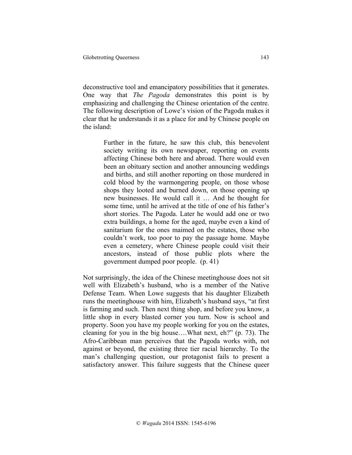deconstructive tool and emancipatory possibilities that it generates. One way that *The Pagoda* demonstrates this point is by emphasizing and challenging the Chinese orientation of the centre. The following description of Lowe's vision of the Pagoda makes it clear that he understands it as a place for and by Chinese people on the island:

> Further in the future, he saw this club, this benevolent society writing its own newspaper, reporting on events affecting Chinese both here and abroad. There would even been an obituary section and another announcing weddings and births, and still another reporting on those murdered in cold blood by the warmongering people, on those whose shops they looted and burned down, on those opening up new businesses. He would call it … And he thought for some time, until he arrived at the title of one of his father's short stories. The Pagoda. Later he would add one or two extra buildings, a home for the aged, maybe even a kind of sanitarium for the ones maimed on the estates, those who couldn't work, too poor to pay the passage home. Maybe even a cemetery, where Chinese people could visit their ancestors, instead of those public plots where the government dumped poor people. (p. 41)

Not surprisingly, the idea of the Chinese meetinghouse does not sit well with Elizabeth's husband, who is a member of the Native Defense Team. When Lowe suggests that his daughter Elizabeth runs the meetinghouse with him, Elizabeth's husband says, "at first is farming and such. Then next thing shop, and before you know, a little shop in every blasted corner you turn. Now is school and property. Soon you have my people working for you on the estates, cleaning for you in the big house….What next, eh?" (p. 73). The Afro-Caribbean man perceives that the Pagoda works with, not against or beyond, the existing three tier racial hierarchy. To the man's challenging question, our protagonist fails to present a satisfactory answer. This failure suggests that the Chinese queer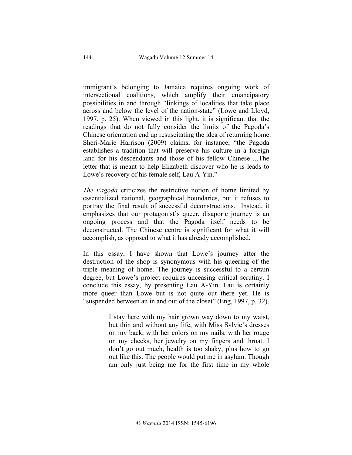immigrant's belonging to Jamaica requires ongoing work of intersectional coalitions, which amplify their emancipatory possibilities in and through "linkings of localities that take place across and below the level of the nation-state" (Lowe and Lloyd, 1997, p. 25). When viewed in this light, it is significant that the readings that do not fully consider the limits of the Pagoda's Chinese orientation end up resuscitating the idea of returning home. Sheri-Marie Harrison (2009) claims, for instance, "the Pagoda establishes a tradition that will preserve his culture in a foreign land for his descendants and those of his fellow Chinese….The letter that is meant to help Elizabeth discover who he is leads to Lowe's recovery of his female self, Lau A-Yin."

*The Pagoda* criticizes the restrictive notion of home limited by essentialized national, geographical boundaries, but it refuses to portray the final result of successful deconstructions. Instead, it emphasizes that our protagonist's queer, disaporic journey is an ongoing process and that the Pagoda itself needs to be deconstructed. The Chinese centre is significant for what it will accomplish, as opposed to what it has already accomplished.

In this essay, I have shown that Lowe's journey after the destruction of the shop is synonymous with his queering of the triple meaning of home. The journey is successful to a certain degree, but Lowe's project requires unceasing critical scrutiny. I conclude this essay, by presenting Lau A-Yin. Lau is certainly more queer than Lowe but is not quite out there yet. He is "suspended between an in and out of the closet" (Eng, 1997, p. 32).

> I stay here with my hair grown way down to my waist, but thin and without any life, with Miss Sylvie's dresses on my back, with her colors on my nails, with her rouge on my cheeks, her jewelry on my fingers and throat. I don't go out much, health is too shaky, plus how to go out like this. The people would put me in asylum. Though am only just being me for the first time in my whole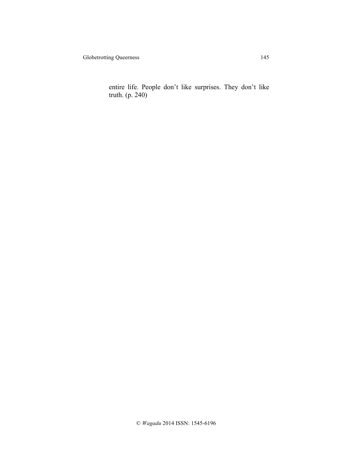entire life. People don't like surprises. They don't like truth. (p. 240)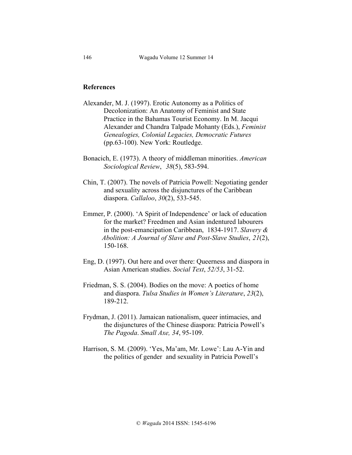### **References**

- Alexander, M. J. (1997). Erotic Autonomy as a Politics of Decolonization: An Anatomy of Feminist and State Practice in the Bahamas Tourist Economy. In M. Jacqui Alexander and Chandra Talpade Mohanty (Eds.), *Feminist Genealogies, Colonial Legacies, Democratic Futures*  (pp.63-100). New York: Routledge.
- Bonacich, E. (1973). A theory of middleman minorities. *American Sociological Review*, *38*(5), 583-594.
- Chin, T. (2007). The novels of Patricia Powell: Negotiating gender and sexuality across the disjunctures of the Caribbean diaspora. *Callaloo*, *30*(2), 533-545.
- Emmer, P. (2000). 'A Spirit of Independence' or lack of education for the market? Freedmen and Asian indentured labourers in the post-emancipation Caribbean, 1834-1917. *Slavery & Abolition: A Journal of Slave and Post-Slave Studies*, *21*(2), 150-168.
- Eng, D. (1997). Out here and over there: Queerness and diaspora in Asian American studies. *Social Text*, *52/53*, 31-52.
- Friedman, S. S. (2004). Bodies on the move: A poetics of home and diaspora. *Tulsa Studies in Women's Literature*, *23*(2), 189-212.
- Frydman, J. (2011). Jamaican nationalism, queer intimacies, and the disjunctures of the Chinese diaspora: Patricia Powell's *The Pagoda*. *Small Axe, 34*, 95-109.
- Harrison, S. M. (2009). 'Yes, Ma'am, Mr. Lowe': Lau A-Yin and the politics of gender and sexuality in Patricia Powell's

146